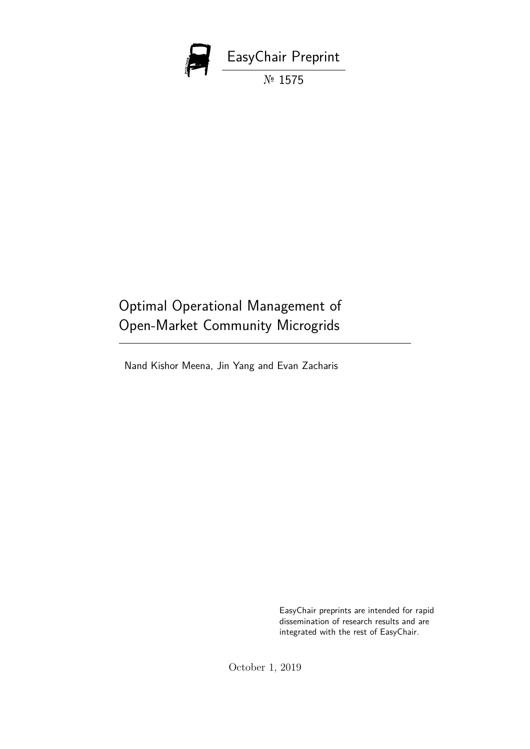

# Optimal Operational Management of Open-Market Community Microgrids

Nand Kishor Meena, Jin Yang and Evan Zacharis

EasyChair preprints are intended for rapid dissemination of research results and are integrated with the rest of EasyChair.

October 1, 2019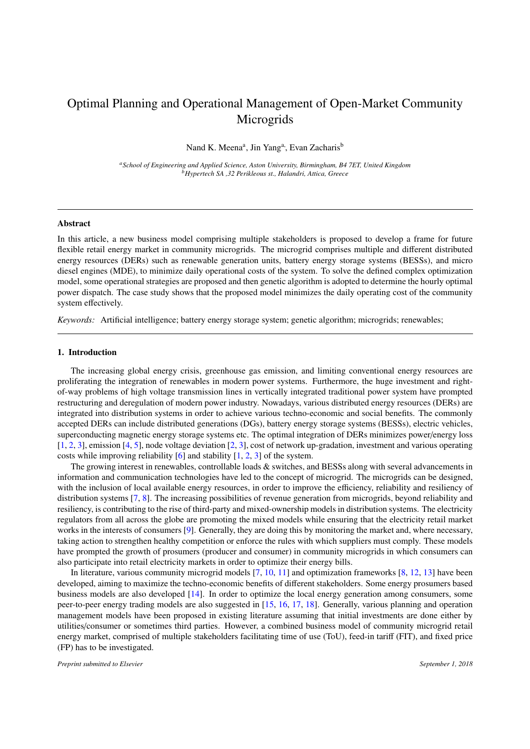# Optimal Planning and Operational Management of Open-Market Community **Microgrids**

Nand K. Meena<sup>a</sup>, Jin Yang<sup>a,</sup>, Evan Zacharis<sup>b</sup>

*<sup>a</sup>School of Engineering and Applied Science, Aston University, Birmingham, B4 7ET, United Kingdom <sup>b</sup>Hypertech SA ,32 Perikleous st., Halandri, Attica, Greece*

## Abstract

In this article, a new business model comprising multiple stakeholders is proposed to develop a frame for future flexible retail energy market in community microgrids. The microgrid comprises multiple and different distributed energy resources (DERs) such as renewable generation units, battery energy storage systems (BESSs), and micro diesel engines (MDE), to minimize daily operational costs of the system. To solve the defined complex optimization model, some operational strategies are proposed and then genetic algorithm is adopted to determine the hourly optimal power dispatch. The case study shows that the proposed model minimizes the daily operating cost of the community system effectively.

*Keywords:* Artificial intelligence; battery energy storage system; genetic algorithm; microgrids; renewables;

#### 1. Introduction

The increasing global energy crisis, greenhouse gas emission, and limiting conventional energy resources are proliferating the integration of renewables in modern power systems. Furthermore, the huge investment and rightof-way problems of high voltage transmission lines in vertically integrated traditional power system have prompted restructuring and deregulation of modern power industry. Nowadays, various distributed energy resources (DERs) are integrated into distribution systems in order to achieve various techno-economic and social benefits. The commonly accepted DERs can include distributed generations (DGs), battery energy storage systems (BESSs), electric vehicles, superconducting magnetic energy storage systems etc. The optimal integration of DERs minimizes power/energy loss [\[1,](#page-7-0) [2,](#page-7-1) [3\]](#page-7-2), emission [\[4,](#page-7-3) [5\]](#page-7-4), node voltage deviation [\[2,](#page-7-1) [3\]](#page-7-2), cost of network up-gradation, investment and various operating costs while improving reliability  $[6]$  and stability  $[1, 2, 3]$  $[1, 2, 3]$  $[1, 2, 3]$  $[1, 2, 3]$  $[1, 2, 3]$  of the system.

The growing interest in renewables, controllable loads & switches, and BESSs along with several advancements in information and communication technologies have led to the concept of microgrid. The microgrids can be designed, with the inclusion of local available energy resources, in order to improve the efficiency, reliability and resiliency of distribution systems [\[7,](#page-7-6) [8\]](#page-7-7). The increasing possibilities of revenue generation from microgrids, beyond reliability and resiliency, is contributing to the rise of third-party and mixed-ownership models in distribution systems. The electricity regulators from all across the globe are promoting the mixed models while ensuring that the electricity retail market works in the interests of consumers [\[9\]](#page-7-8). Generally, they are doing this by monitoring the market and, where necessary, taking action to strengthen healthy competition or enforce the rules with which suppliers must comply. These models have prompted the growth of prosumers (producer and consumer) in community microgrids in which consumers can also participate into retail electricity markets in order to optimize their energy bills.

In literature, various community microgrid models [\[7,](#page-7-6) [10,](#page-7-9) [11\]](#page-7-10) and optimization frameworks [\[8,](#page-7-7) [12,](#page-7-11) [13\]](#page-7-12) have been developed, aiming to maximize the techno-economic benefits of different stakeholders. Some energy prosumers based business models are also developed [\[14\]](#page-7-13). In order to optimize the local energy generation among consumers, some peer-to-peer energy trading models are also suggested in [\[15,](#page-7-14) [16,](#page-7-15) [17,](#page-7-16) [18\]](#page-7-17). Generally, various planning and operation management models have been proposed in existing literature assuming that initial investments are done either by utilities/consumer or sometimes third parties. However, a combined business model of community microgrid retail energy market, comprised of multiple stakeholders facilitating time of use (ToU), feed-in tariff (FIT), and fixed price (FP) has to be investigated.

*Preprint submitted to Elsevier September 1, 2018*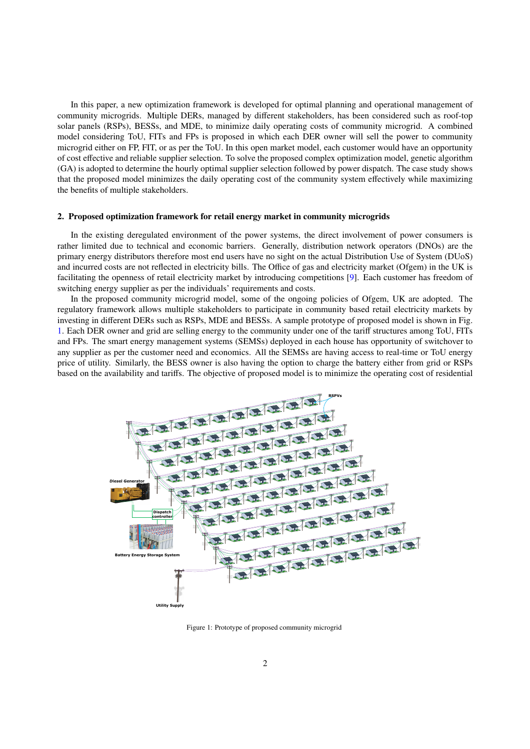In this paper, a new optimization framework is developed for optimal planning and operational management of community microgrids. Multiple DERs, managed by different stakeholders, has been considered such as roof-top solar panels (RSPs), BESSs, and MDE, to minimize daily operating costs of community microgrid. A combined model considering ToU, FITs and FPs is proposed in which each DER owner will sell the power to community microgrid either on FP, FIT, or as per the ToU. In this open market model, each customer would have an opportunity of cost effective and reliable supplier selection. To solve the proposed complex optimization model, genetic algorithm (GA) is adopted to determine the hourly optimal supplier selection followed by power dispatch. The case study shows that the proposed model minimizes the daily operating cost of the community system effectively while maximizing the benefits of multiple stakeholders.

#### <span id="page-2-1"></span>2. Proposed optimization framework for retail energy market in community microgrids

In the existing deregulated environment of the power systems, the direct involvement of power consumers is rather limited due to technical and economic barriers. Generally, distribution network operators (DNOs) are the primary energy distributors therefore most end users have no sight on the actual Distribution Use of System (DUoS) and incurred costs are not reflected in electricity bills. The Office of gas and electricity market (Ofgem) in the UK is facilitating the openness of retail electricity market by introducing competitions [\[9\]](#page-7-8). Each customer has freedom of switching energy supplier as per the individuals' requirements and costs.

In the proposed community microgrid model, some of the ongoing policies of Ofgem, UK are adopted. The regulatory framework allows multiple stakeholders to participate in community based retail electricity markets by investing in different DERs such as RSPs, MDE and BESSs. A sample prototype of proposed model is shown in Fig. [1.](#page-2-0) Each DER owner and grid are selling energy to the community under one of the tariff structures among ToU, FITs and FPs. The smart energy management systems (SEMSs) deployed in each house has opportunity of switchover to any supplier as per the customer need and economics. All the SEMSs are having access to real-time or ToU energy price of utility. Similarly, the BESS owner is also having the option to charge the battery either from grid or RSPs based on the availability and tariffs. The objective of proposed model is to minimize the operating cost of residential



<span id="page-2-0"></span>Figure 1: Prototype of proposed community microgrid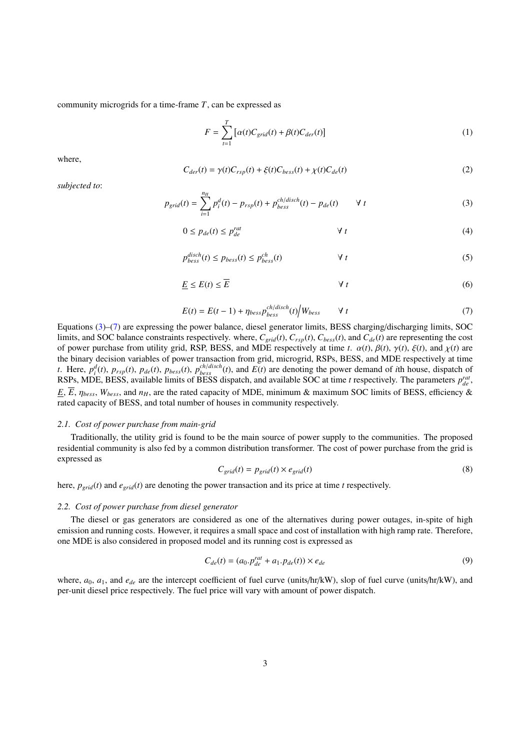community microgrids for a time-frame *T*, can be expressed as

$$
F = \sum_{t=1}^{T} \left[ \alpha(t) C_{grid}(t) + \beta(t) C_{der}(t) \right]
$$
 (1)

where,

$$
C_{der}(t) = \gamma(t)C_{rsp}(t) + \xi(t)C_{bess}(t) + \chi(t)C_{de}(t)
$$
\n(2)

<span id="page-3-0"></span>*subjected to*:

$$
p_{grid}(t) = \sum_{i=1}^{n_H} p_i^d(t) - p_{rsp}(t) + p_{bess}^{ch/disch}(t) - p_{de}(t) \qquad \forall \ t
$$
 (3)

$$
0 \le p_{de}(t) \le p_{de}^{rat} \qquad \qquad \forall \ t \tag{4}
$$

$$
p_{bess}^{disch}(t) \le p_{bess}(t) \le p_{bess}^{ch}(t) \qquad \forall \ t \tag{5}
$$

$$
\underline{E} \le E(t) \le \overline{E} \tag{6}
$$

$$
E(t) = E(t-1) + \eta_{bess} p_{bess}^{ch/disch}(t) \Big| W_{bess} \qquad \forall \ t \tag{7}
$$

<span id="page-3-1"></span>Equations [\(3\)](#page-3-0)–[\(7\)](#page-3-1) are expressing the power balance, diesel generator limits, BESS charging/discharging limits, SOC limits, and SOC balance constraints respectively. where,  $C_{grid}(t)$ ,  $C_{rsp}(t)$ ,  $C_{bess}(t)$ , and  $C_{de}(t)$  are representing the cost of power purchase from utility grid, RSP, BESS, and MDE respectively at time *t*.  $\alpha(t)$ ,  $\beta(t)$ ,  $\gamma(t)$ ,  $\xi(t)$ , and  $\chi(t)$  are the binary decision variables of power transaction from grid, microgrid, RSPs, BESS, and MDE respectively at time t. Here,  $p_i^d(t)$ ,  $p_{rsp}(t)$ ,  $p_{de}(t)$ ,  $p_{bess}(t)$ ,  $p_{bess}^{ch/disch}(t)$ , and  $E(t)$  are denoting the power demand of *i*th house, dispatch of RSPs, MDE, BESS, available limits of BESS dispatch, and available SOC at time *t* respectively. The parameters  $p_{de}^{rat}$ ,  $E$ ,  $\overline{E}$ ,  $\eta_{bess}$ ,  $W_{bess}$ , and  $n_H$ , are the rated capacity of MDE, minimum & maximum SOC limits of BESS, efficiency & rated capacity of BESS, and total number of houses in community respectively.

#### *2.1. Cost of power purchase from main-grid*

Traditionally, the utility grid is found to be the main source of power supply to the communities. The proposed residential community is also fed by a common distribution transformer. The cost of power purchase from the grid is expressed as

$$
C_{grid}(t) = p_{grid}(t) \times e_{grid}(t)
$$
\n(8)

here,  $p_{grid}(t)$  and  $e_{grid}(t)$  are denoting the power transaction and its price at time *t* respectively.

#### *2.2. Cost of power purchase from diesel generator*

The diesel or gas generators are considered as one of the alternatives during power outages, in-spite of high emission and running costs. However, it requires a small space and cost of installation with high ramp rate. Therefore, one MDE is also considered in proposed model and its running cost is expressed as

<span id="page-3-2"></span>
$$
C_{de}(t) = (a_0.P_{de}^{rat} + a_1.P_{de}(t)) \times e_{de}
$$
\n<sup>(9)</sup>

where,  $a_0$ ,  $a_1$ , and  $e_{de}$  are the intercept coefficient of fuel curve (units/hr/kW), slop of fuel curve (units/hr/kW), and per-unit diesel price respectively. The fuel price will vary with amount of power dispatch.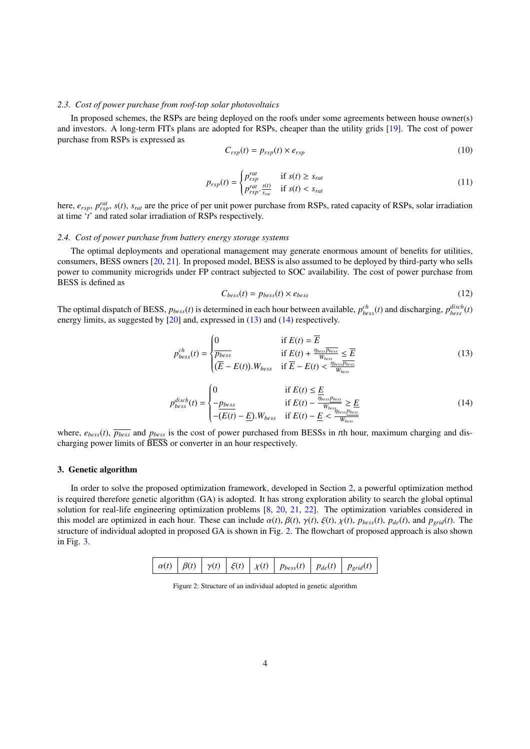### *2.3. Cost of power purchase from roof-top solar photovoltaics*

In proposed schemes, the RSPs are being deployed on the roofs under some agreements between house owner(s) and investors. A long-term FITs plans are adopted for RSPs, cheaper than the utility grids [\[19\]](#page-7-18). The cost of power purchase from RSPs is expressed as

$$
C_{rsp}(t) = p_{rsp}(t) \times e_{rsp} \tag{10}
$$

$$
p_{rsp}(t) = \begin{cases} p_{rsp}^{rat} & \text{if } s(t) \ge s_{rat} \\ p_{rsp}^{rat} & \text{if } s(t) < s_{rat} \end{cases} \tag{11}
$$

here, *ersp*, *p rat rsp*, *s*(*t*), *srat* are the price of per unit power purchase from RSPs, rated capacity of RSPs, solar irradiation at time '*t*' and rated solar irradiation of RSPs respectively.

#### *2.4. Cost of power purchase from battery energy storage systems*

The optimal deployments and operational management may generate enormous amount of benefits for utilities, consumers, BESS owners [\[20,](#page-7-19) [21\]](#page-7-20). In proposed model, BESS is also assumed to be deployed by third-party who sells power to community microgrids under FP contract subjected to SOC availability. The cost of power purchase from BESS is defined as

<span id="page-4-0"></span>
$$
C_{bess}(t) = p_{bess}(t) \times e_{bess} \tag{12}
$$

The optimal dispatch of BESS,  $p_{bess}(t)$  is determined in each hour between available,  $p_{bess}^{ch}(t)$  and discharging,  $p_{bess}^{disch}(t)$ energy limits, as suggested by [\[20\]](#page-7-19) and, expressed in [\(13\)](#page-4-0) and [\(14\)](#page-4-1) respectively.

$$
p_{bess}^{ch}(t) = \begin{cases} 0 & \text{if } E(t) = \overline{E} \\ \frac{\overline{p}_{bess}}{\overline{E}} & \text{if } E(t) + \frac{\eta_{bess} \overline{p}_{bess}}{W_{bess}} \leq \overline{E} \\ (\overline{E} - E(t)).W_{bess} & \text{if } \overline{E} - E(t) < \frac{\eta_{bess} \overline{p}_{bess}}{W_{bess}} \end{cases}
$$
(13)

$$
p_{bess}^{disch}(t) = \begin{cases} 0 & \text{if } E(t) \le \underline{E} \\ -\underline{p_{bess}} & \text{if } E(t) - \frac{\overline{\eta_{bess}} p_{bess}}{W_{bess}} \ge \underline{E} \\ -(\overline{E(t)} - \underline{E}).W_{bess} & \text{if } E(t) - \underline{E} < \frac{\overline{\eta_{bess}} p_{bess}}{W_{bess}} \end{cases}
$$
(14)

<span id="page-4-1"></span>where,  $e_{bess}(t)$ ,  $\overline{p_{bess}}$  and  $p_{bess}$  is the cost of power purchased from BESSs in *t*th hour, maximum charging and discharging power limits of BESS or converter in an hour respectively.

#### <span id="page-4-3"></span>3. Genetic algorithm

In order to solve the proposed optimization framework, developed in Section [2,](#page-2-1) a powerful optimization method is required therefore genetic algorithm (GA) is adopted. It has strong exploration ability to search the global optimal solution for real-life engineering optimization problems [\[8,](#page-7-7) [20,](#page-7-19) [21,](#page-7-20) [22\]](#page-7-21). The optimization variables considered in this model are optimized in each hour. These can include  $\alpha(t)$ ,  $\beta(t)$ ,  $\gamma(t)$ ,  $\xi(t)$ ,  $\chi(t)$ ,  $p_{\text{bess}}(t)$ ,  $p_{\text{de}}(t)$ , and  $p_{\text{grid}}(t)$ . The structure of individual adopted in proposed GA is shown in Fig. [2.](#page-4-2) The flowchart of proposed approach is also shown in Fig. [3.](#page-5-0)

| $\left \begin{array}{c c c} \alpha(t) & \beta(t) & \gamma(t) & \xi(t) & \chi(t) & p_{bess}(t) & p_{de}(t) & p_{grid}(t) \end{array}\right $ |  |
|---------------------------------------------------------------------------------------------------------------------------------------------|--|
|---------------------------------------------------------------------------------------------------------------------------------------------|--|

<span id="page-4-2"></span>Figure 2: Structure of an individual adopted in genetic algorithm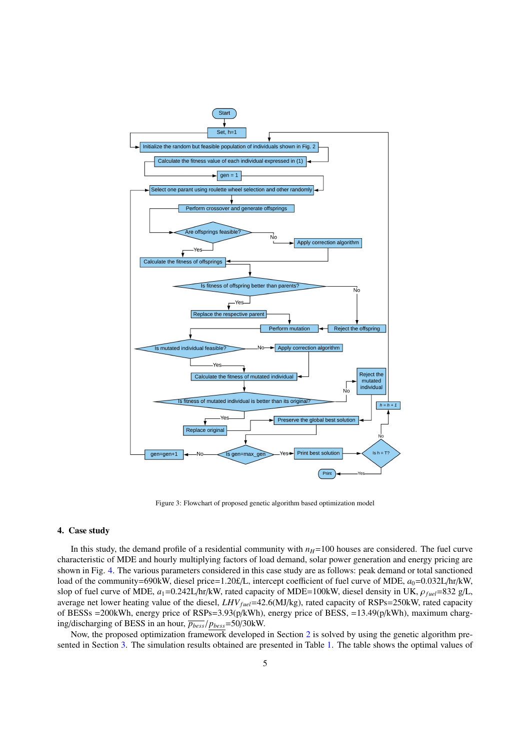

<span id="page-5-0"></span>Figure 3: Flowchart of proposed genetic algorithm based optimization model

#### 4. Case study

In this study, the demand profile of a residential community with  $n_H$ =100 houses are considered. The fuel curve characteristic of MDE and hourly multiplying factors of load demand, solar power generation and energy pricing are shown in Fig. [4.](#page-6-0) The various parameters considered in this case study are as follows: peak demand or total sanctioned load of the community=690kW, diesel price=1.20£/L, intercept coefficient of fuel curve of MDE,  $a_0$ =0.032L/hr/kW, slop of fuel curve of MDE,  $a_1$ =0.242L/hr/kW, rated capacity of MDE=100kW, diesel density in UK,  $\rho_{fuel}$ =832 g/L, average net lower heating value of the diesel,  $LHV_{fuel}$ =42.6(MJ/kg), rated capacity of RSPs=250kW, rated capacity of BESSs =200kWh, energy price of RSPs=3.93(p/kWh), energy price of BESS, =13.49(p/kWh), maximum charging/discharging of BESS in an hour, *<sup>p</sup>bess*/*pbess*=50/30kW.

Now, the proposed optimization framework developed in Section [2](#page-2-1) is solved by using the genetic algorithm presented in Section [3.](#page-4-3) The simulation results obtained are presented in Table [1.](#page-6-1) The table shows the optimal values of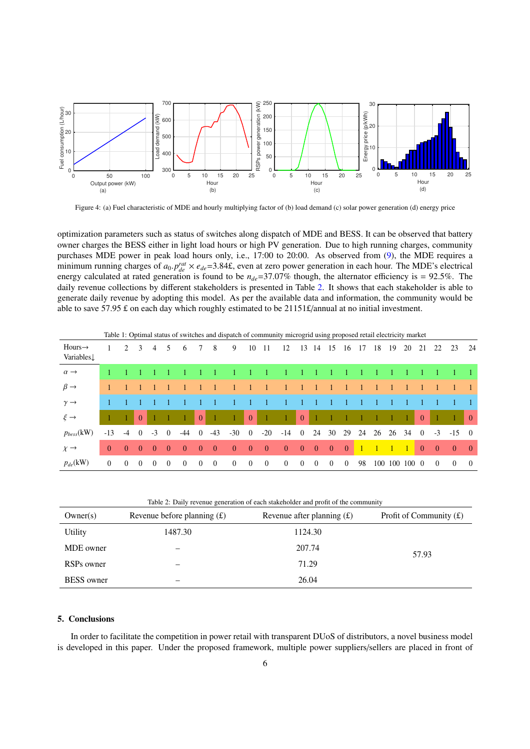

<span id="page-6-0"></span>Figure 4: (a) Fuel characteristic of MDE and hourly multiplying factor of (b) load demand (c) solar power generation (d) energy price

optimization parameters such as status of switches along dispatch of MDE and BESS. It can be observed that battery owner charges the BESS either in light load hours or high PV generation. Due to high running charges, community purchases MDE power in peak load hours only, i.e., 17:00 to 20:00. As observed from [\(9\)](#page-3-2), the MDE requires a minimum running charges of  $a_0$ ,  $p_{de}^{rat} \times e_{de} = 3.84$  £, even at zero power generation in each hour. The MDE's electrical<br>energy calculated at rated generation is found to be  $n_A = 37.07\%$  though, the alternator efficie energy calculated at rated generation is found to be  $n_{de} = 37.07\%$  though, the alternator efficiency is = 92.5%. The daily revenue collections by different stakeholders is presented in Table [2.](#page-6-2) It shows that each stakeholder is able to generate daily revenue by adopting this model. As per the available data and information, the community would be able to save 57.95 £ on each day which roughly estimated to be  $21151\pounds$ /annual at no initial investment.

<span id="page-6-1"></span>

|                                  |          |          |          |          |              |                |                |                |                |                |                | Table 1: Optimal status of switches and dispatch of community microgrid using proposed retail electricity market |                |                |                |                |     |                |     |               |                |          |          |                |
|----------------------------------|----------|----------|----------|----------|--------------|----------------|----------------|----------------|----------------|----------------|----------------|------------------------------------------------------------------------------------------------------------------|----------------|----------------|----------------|----------------|-----|----------------|-----|---------------|----------------|----------|----------|----------------|
| $Hours \rightarrow$<br>Variables |          | 2        | 3        | 4        | 5            | 6              | 7              | 8              | 9              | 10             | -11            | 12                                                                                                               | 13             | 14             | 15             | 16             | -17 | 18             | 19  | 20            | 21             | 22       | 23       | -24            |
| $\alpha \rightarrow$             |          |          |          |          |              |                |                |                |                |                |                |                                                                                                                  |                |                |                |                |     |                |     |               |                |          |          |                |
| $\beta \rightarrow$              | 1        |          |          |          |              |                |                |                |                | 1              |                |                                                                                                                  |                |                |                |                |     |                |     |               |                |          |          |                |
| $\gamma \rightarrow$             |          |          |          |          |              |                |                |                |                |                |                |                                                                                                                  |                |                |                |                |     |                |     |               |                |          |          |                |
| $\xi \rightarrow$                |          |          | $\theta$ |          |              |                | $\overline{0}$ |                | $\overline{1}$ | $\overline{0}$ |                | 47                                                                                                               | $\overline{0}$ |                |                |                |     |                |     |               | $\theta$       |          |          | $\theta$       |
| $p_{bess}$ (kW)                  | $-13$    | $-4$     | $\theta$ | $-3$     | $\theta$     | $-44$          | $\overline{0}$ | $-43$          | $-30$          | $\overline{0}$ | $-20$          | $-14$                                                                                                            | $\theta$       | 24             | 30             | 29             | 24  | 26             | 26  | 34            | $\overline{0}$ | $-3$     | $-15$    | $\overline{0}$ |
| $\chi \rightarrow$               | $\theta$ | $\theta$ | $\theta$ | $\theta$ | $\mathbf{0}$ | $\overline{0}$ | $\overline{0}$ | $\overline{0}$ | $\overline{0}$ | $\mathbf{0}$   | $\overline{0}$ | $\overline{0}$                                                                                                   | $\overline{0}$ | $\overline{0}$ | $\overline{0}$ | $\overline{0}$ |     | $\blacksquare$ |     |               | $\theta$       | $\theta$ | $\theta$ | - 0            |
| $p_{de}$ (kW)                    | $\Omega$ | $\theta$ | $\theta$ | $\Omega$ | $\theta$     | $\overline{0}$ | $\overline{0}$ | $\overline{0}$ | $\overline{0}$ | $\overline{0}$ | $\overline{0}$ | $\overline{0}$                                                                                                   | $\theta$       | $\Omega$       | $\overline{0}$ | $\theta$       | 98  | 100            | 100 | $100 \quad 0$ |                | $\theta$ | $\theta$ | $\theta$       |

<span id="page-6-2"></span>Table 2: Daily revenue generation of each stakeholder and profit of the community

| Owner(s)               | Revenue before planning $(E)$ | Revenue after planning $(E)$ | Profit of Community $(E)$ |  |  |  |  |
|------------------------|-------------------------------|------------------------------|---------------------------|--|--|--|--|
| Utility                | 1487.30                       | 1124.30                      |                           |  |  |  |  |
| MDE owner              | $\overline{\phantom{a}}$      | 207.74                       | 57.93                     |  |  |  |  |
| RSP <sub>s</sub> owner | -                             | 71.29                        |                           |  |  |  |  |
| <b>BESS</b> owner      | -                             | 26.04                        |                           |  |  |  |  |

# 5. Conclusions

In order to facilitate the competition in power retail with transparent DUoS of distributors, a novel business model is developed in this paper. Under the proposed framework, multiple power suppliers/sellers are placed in front of